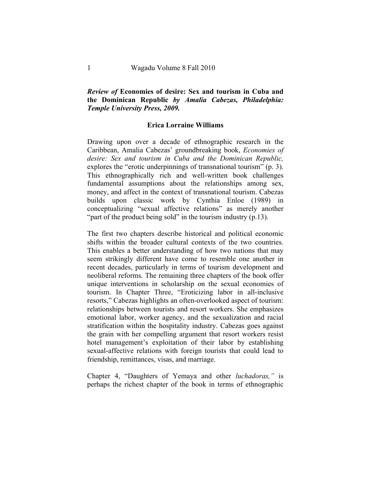## *Review of* **Economies of desire: Sex and tourism in Cuba and the Dominican Republic** *by Amalia Cabezas, Philadelphia: Temple University Press, 2009.*

## **Erica Lorraine Williams**

Drawing upon over a decade of ethnographic research in the Caribbean, Amalia Cabezas' groundbreaking book, *Economies of desire: Sex and tourism in Cuba and the Dominican Republic,* explores the "erotic underpinnings of transnational tourism" (p. 3). This ethnographically rich and well-written book challenges fundamental assumptions about the relationships among sex, money, and affect in the context of transnational tourism. Cabezas builds upon classic work by Cynthia Enloe (1989) in conceptualizing "sexual affective relations" as merely another "part of the product being sold" in the tourism industry (p.13).

The first two chapters describe historical and political economic shifts within the broader cultural contexts of the two countries. This enables a better understanding of how two nations that may seem strikingly different have come to resemble one another in recent decades, particularly in terms of tourism development and neoliberal reforms. The remaining three chapters of the book offer unique interventions in scholarship on the sexual economies of tourism. In Chapter Three, "Eroticizing labor in all-inclusive resorts," Cabezas highlights an often-overlooked aspect of tourism: relationships between tourists and resort workers. She emphasizes emotional labor, worker agency, and the sexualization and racial stratification within the hospitality industry. Cabezas goes against the grain with her compelling argument that resort workers resist hotel management's exploitation of their labor by establishing sexual-affective relations with foreign tourists that could lead to friendship, remittances, visas, and marriage.

Chapter 4, "Daughters of Yemaya and other *luchadoras,"* is perhaps the richest chapter of the book in terms of ethnographic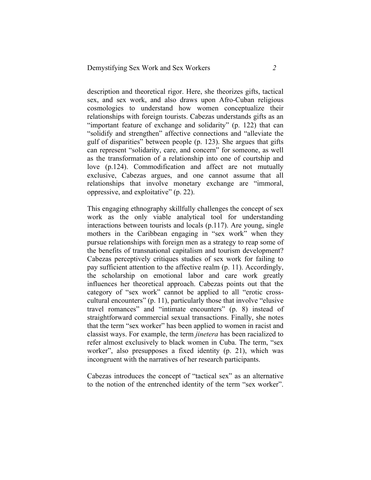description and theoretical rigor. Here, she theorizes gifts, tactical sex, and sex work, and also draws upon Afro-Cuban religious cosmologies to understand how women conceptualize their relationships with foreign tourists. Cabezas understands gifts as an "important feature of exchange and solidarity" (p. 122) that can "solidify and strengthen" affective connections and "alleviate the gulf of disparities" between people (p. 123). She argues that gifts can represent "solidarity, care, and concern" for someone, as well as the transformation of a relationship into one of courtship and love (p.124). Commodification and affect are not mutually exclusive, Cabezas argues, and one cannot assume that all relationships that involve monetary exchange are "immoral, oppressive, and exploitative" (p. 22).

This engaging ethnography skillfully challenges the concept of sex work as the only viable analytical tool for understanding interactions between tourists and locals (p.117). Are young, single mothers in the Caribbean engaging in "sex work" when they pursue relationships with foreign men as a strategy to reap some of the benefits of transnational capitalism and tourism development? Cabezas perceptively critiques studies of sex work for failing to pay sufficient attention to the affective realm (p. 11). Accordingly, the scholarship on emotional labor and care work greatly influences her theoretical approach. Cabezas points out that the category of "sex work" cannot be applied to all "erotic crosscultural encounters" (p. 11), particularly those that involve "elusive travel romances" and "intimate encounters" (p. 8) instead of straightforward commercial sexual transactions. Finally, she notes that the term "sex worker" has been applied to women in racist and classist ways. For example, the term *jinetera* has been racialized to refer almost exclusively to black women in Cuba. The term, "sex worker", also presupposes a fixed identity (p. 21), which was incongruent with the narratives of her research participants.

Cabezas introduces the concept of "tactical sex" as an alternative to the notion of the entrenched identity of the term "sex worker".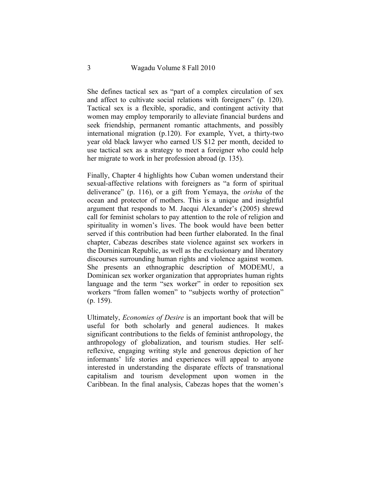She defines tactical sex as "part of a complex circulation of sex and affect to cultivate social relations with foreigners" (p. 120). Tactical sex is a flexible, sporadic, and contingent activity that women may employ temporarily to alleviate financial burdens and seek friendship, permanent romantic attachments, and possibly international migration (p.120). For example, Yvet, a thirty-two year old black lawyer who earned US \$12 per month, decided to use tactical sex as a strategy to meet a foreigner who could help her migrate to work in her profession abroad (p. 135).

Finally, Chapter 4 highlights how Cuban women understand their sexual-affective relations with foreigners as "a form of spiritual deliverance" (p. 116), or a gift from Yemaya, the *orisha* of the ocean and protector of mothers. This is a unique and insightful argument that responds to M. Jacqui Alexander's (2005) shrewd call for feminist scholars to pay attention to the role of religion and spirituality in women's lives. The book would have been better served if this contribution had been further elaborated. In the final chapter, Cabezas describes state violence against sex workers in the Dominican Republic, as well as the exclusionary and liberatory discourses surrounding human rights and violence against women. She presents an ethnographic description of MODEMU, a Dominican sex worker organization that appropriates human rights language and the term "sex worker" in order to reposition sex workers "from fallen women" to "subjects worthy of protection" (p. 159).

Ultimately, *Economies of Desire* is an important book that will be useful for both scholarly and general audiences. It makes significant contributions to the fields of feminist anthropology, the anthropology of globalization, and tourism studies. Her selfreflexive, engaging writing style and generous depiction of her informants' life stories and experiences will appeal to anyone interested in understanding the disparate effects of transnational capitalism and tourism development upon women in the Caribbean. In the final analysis, Cabezas hopes that the women's